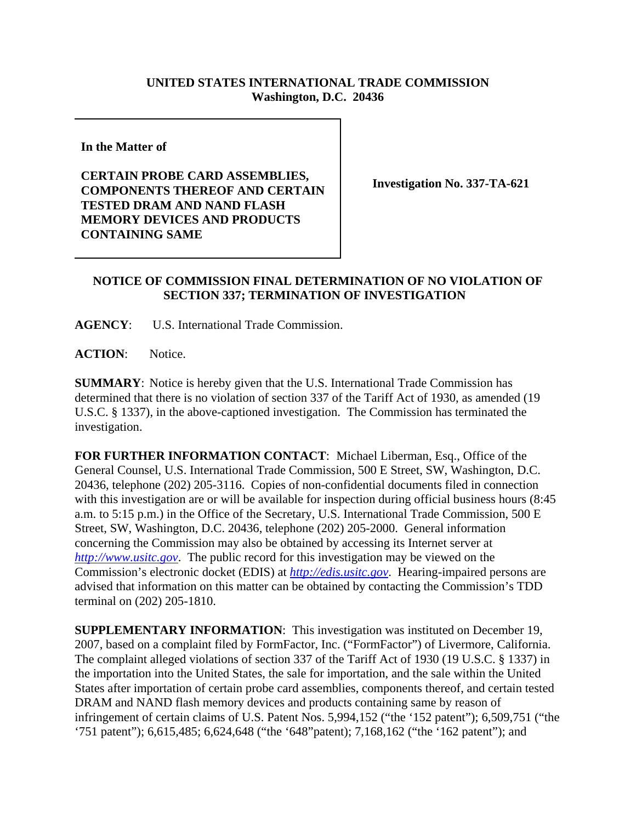## **UNITED STATES INTERNATIONAL TRADE COMMISSION Washington, D.C. 20436**

**In the Matter of** 

**CERTAIN PROBE CARD ASSEMBLIES, COMPONENTS THEREOF AND CERTAIN TESTED DRAM AND NAND FLASH MEMORY DEVICES AND PRODUCTS CONTAINING SAME**

**Investigation No. 337-TA-621**

## **NOTICE OF COMMISSION FINAL DETERMINATION OF NO VIOLATION OF SECTION 337; TERMINATION OF INVESTIGATION**

**AGENCY**: U.S. International Trade Commission.

**ACTION**: Notice.

**SUMMARY**: Notice is hereby given that the U.S. International Trade Commission has determined that there is no violation of section 337 of the Tariff Act of 1930, as amended (19 U.S.C. § 1337), in the above-captioned investigation. The Commission has terminated the investigation.

**FOR FURTHER INFORMATION CONTACT**: Michael Liberman, Esq., Office of the General Counsel, U.S. International Trade Commission, 500 E Street, SW, Washington, D.C. 20436, telephone (202) 205-3116. Copies of non-confidential documents filed in connection with this investigation are or will be available for inspection during official business hours (8:45) a.m. to 5:15 p.m.) in the Office of the Secretary, U.S. International Trade Commission, 500 E Street, SW, Washington, D.C. 20436, telephone (202) 205-2000. General information concerning the Commission may also be obtained by accessing its Internet server at *http://www.usitc.gov*. The public record for this investigation may be viewed on the Commission's electronic docket (EDIS) at *http://edis.usitc.gov*. Hearing-impaired persons are advised that information on this matter can be obtained by contacting the Commission's TDD terminal on (202) 205-1810.

**SUPPLEMENTARY INFORMATION**: This investigation was instituted on December 19, 2007, based on a complaint filed by FormFactor, Inc. ("FormFactor") of Livermore, California. The complaint alleged violations of section 337 of the Tariff Act of 1930 (19 U.S.C. § 1337) in the importation into the United States, the sale for importation, and the sale within the United States after importation of certain probe card assemblies, components thereof, and certain tested DRAM and NAND flash memory devices and products containing same by reason of infringement of certain claims of U.S. Patent Nos. 5,994,152 ("the '152 patent"); 6,509,751 ("the '751 patent"); 6,615,485; 6,624,648 ("the '648"patent); 7,168,162 ("the '162 patent"); and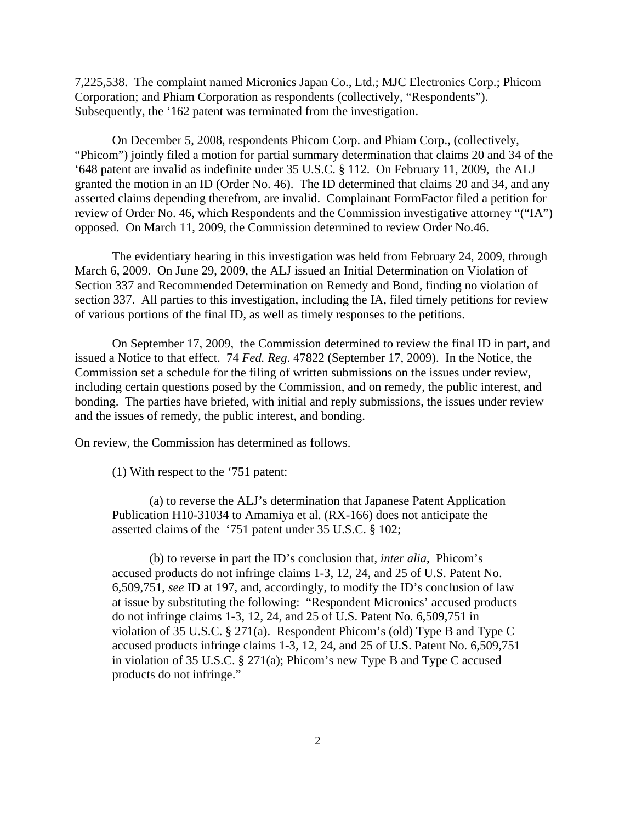7,225,538. The complaint named Micronics Japan Co., Ltd.; MJC Electronics Corp.; Phicom Corporation; and Phiam Corporation as respondents (collectively, "Respondents"). Subsequently, the '162 patent was terminated from the investigation.

On December 5, 2008, respondents Phicom Corp. and Phiam Corp., (collectively, "Phicom") jointly filed a motion for partial summary determination that claims 20 and 34 of the '648 patent are invalid as indefinite under 35 U.S.C. § 112. On February 11, 2009, the ALJ granted the motion in an ID (Order No. 46). The ID determined that claims 20 and 34, and any asserted claims depending therefrom, are invalid. Complainant FormFactor filed a petition for review of Order No. 46, which Respondents and the Commission investigative attorney "("IA") opposed. On March 11, 2009, the Commission determined to review Order No.46.

The evidentiary hearing in this investigation was held from February 24, 2009, through March 6, 2009. On June 29, 2009, the ALJ issued an Initial Determination on Violation of Section 337 and Recommended Determination on Remedy and Bond, finding no violation of section 337. All parties to this investigation, including the IA, filed timely petitions for review of various portions of the final ID, as well as timely responses to the petitions.

On September 17, 2009, the Commission determined to review the final ID in part, and issued a Notice to that effect. 74 *Fed. Reg*. 47822 (September 17, 2009). In the Notice, the Commission set a schedule for the filing of written submissions on the issues under review, including certain questions posed by the Commission, and on remedy, the public interest, and bonding. The parties have briefed, with initial and reply submissions, the issues under review and the issues of remedy, the public interest, and bonding.

On review, the Commission has determined as follows.

(1) With respect to the '751 patent:

(a) to reverse the ALJ's determination that Japanese Patent Application Publication H10-31034 to Amamiya et al. (RX-166) does not anticipate the asserted claims of the '751 patent under 35 U.S.C. § 102;

(b) to reverse in part the ID's conclusion that, *inter alia*, Phicom's accused products do not infringe claims 1-3, 12, 24, and 25 of U.S. Patent No. 6,509,751, *see* ID at 197, and, accordingly, to modify the ID's conclusion of law at issue by substituting the following: "Respondent Micronics' accused products do not infringe claims 1-3, 12, 24, and 25 of U.S. Patent No. 6,509,751 in violation of 35 U.S.C. § 271(a). Respondent Phicom's (old) Type B and Type C accused products infringe claims 1-3, 12, 24, and 25 of U.S. Patent No. 6,509,751 in violation of 35 U.S.C. § 271(a); Phicom's new Type B and Type C accused products do not infringe."